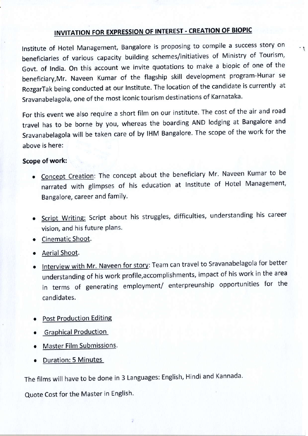## **INVITATION FOR EXPRESSION OF INTEREST - CREATION OF BIOPIC**

 $\cdot$   $\cdot$ 

Institute of Hotel Management, Bangalore is proposing to compile a success story on beneficiaries of various capacity building schemes/initiatives of Ministry of Tourism, GoVt, of lndia, on this account we invite quotations to make a biopic of one of the beneficiary,Mr. Naveen Kumar of the flagship skill development program-Hunar se RozgarTak being conducted at our lnstitute. The location of the candidate is currently at Sravanabelagola, one of the most iconic tourism destinations of Karnataka'

For this event we also require a short film on our institute. The cost of the air and road travel has to be borne by you, whereas the boarding AND lodging at Bangalore and Sravanabelagola will be taken care of by IHM Bangalore. The scope of the work for the above is here:

## scope of work:

- Concept Creation: The concept about the beneficiary Mr. Naveen Kumar to be narrated with glimpses of his education at Institute of Hotel Management Bangalore, career and familY.
- Script Writing: Script about his struggles, difficulties, understanding his career vision, and his future plans.
- Cinematic Shoot.
- Aerial Shoot.
- Interview with Mr. Naveen for story: Team can travel to Sravanabelagola for better understanding of his work profile,accomplishments, impact of his work in the area in terms of generating employment/ enterpreunship opportunities for the candidates.
- . Post Production Editing
- **Graphical Production**
- Master Film Submissions.
- . Duration: 5 Minutes

The films will have to be done in 3 Languages: English, Hindi and Kannada.

Quote Cost for the Master in English.